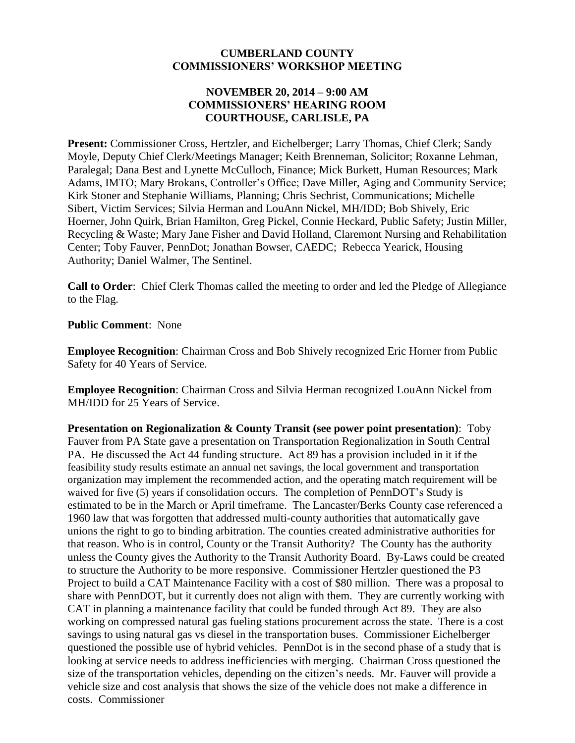### **CUMBERLAND COUNTY COMMISSIONERS' WORKSHOP MEETING**

### **NOVEMBER 20, 2014 – 9:00 AM COMMISSIONERS' HEARING ROOM COURTHOUSE, CARLISLE, PA**

**Present:** Commissioner Cross, Hertzler, and Eichelberger; Larry Thomas, Chief Clerk; Sandy Moyle, Deputy Chief Clerk/Meetings Manager; Keith Brenneman, Solicitor; Roxanne Lehman, Paralegal; Dana Best and Lynette McCulloch, Finance; Mick Burkett, Human Resources; Mark Adams, IMTO; Mary Brokans, Controller's Office; Dave Miller, Aging and Community Service; Kirk Stoner and Stephanie Williams, Planning; Chris Sechrist, Communications; Michelle Sibert, Victim Services; Silvia Herman and LouAnn Nickel, MH/IDD; Bob Shively, Eric Hoerner, John Quirk, Brian Hamilton, Greg Pickel, Connie Heckard, Public Safety; Justin Miller, Recycling & Waste; Mary Jane Fisher and David Holland, Claremont Nursing and Rehabilitation Center; Toby Fauver, PennDot; Jonathan Bowser, CAEDC; Rebecca Yearick, Housing Authority; Daniel Walmer, The Sentinel.

**Call to Order**: Chief Clerk Thomas called the meeting to order and led the Pledge of Allegiance to the Flag.

### **Public Comment**: None

**Employee Recognition**: Chairman Cross and Bob Shively recognized Eric Horner from Public Safety for 40 Years of Service.

**Employee Recognition**: Chairman Cross and Silvia Herman recognized LouAnn Nickel from MH/IDD for 25 Years of Service.

**Presentation on Regionalization & County Transit (see power point presentation)**: Toby Fauver from PA State gave a presentation on Transportation Regionalization in South Central PA. He discussed the Act 44 funding structure. Act 89 has a provision included in it if the feasibility study results estimate an annual net savings, the local government and transportation organization may implement the recommended action, and the operating match requirement will be waived for five (5) years if consolidation occurs. The completion of PennDOT's Study is estimated to be in the March or April timeframe. The Lancaster/Berks County case referenced a 1960 law that was forgotten that addressed multi-county authorities that automatically gave unions the right to go to binding arbitration. The counties created administrative authorities for that reason. Who is in control, County or the Transit Authority? The County has the authority unless the County gives the Authority to the Transit Authority Board. By-Laws could be created to structure the Authority to be more responsive. Commissioner Hertzler questioned the P3 Project to build a CAT Maintenance Facility with a cost of \$80 million. There was a proposal to share with PennDOT, but it currently does not align with them. They are currently working with CAT in planning a maintenance facility that could be funded through Act 89. They are also working on compressed natural gas fueling stations procurement across the state. There is a cost savings to using natural gas vs diesel in the transportation buses. Commissioner Eichelberger questioned the possible use of hybrid vehicles. PennDot is in the second phase of a study that is looking at service needs to address inefficiencies with merging. Chairman Cross questioned the size of the transportation vehicles, depending on the citizen's needs. Mr. Fauver will provide a vehicle size and cost analysis that shows the size of the vehicle does not make a difference in costs. Commissioner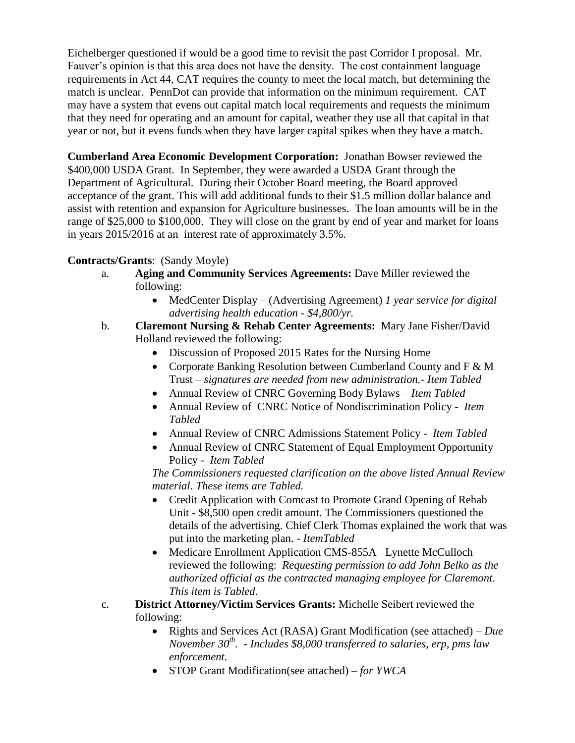Eichelberger questioned if would be a good time to revisit the past Corridor I proposal. Mr. Fauver's opinion is that this area does not have the density. The cost containment language requirements in Act 44, CAT requires the county to meet the local match, but determining the match is unclear. PennDot can provide that information on the minimum requirement. CAT may have a system that evens out capital match local requirements and requests the minimum that they need for operating and an amount for capital, weather they use all that capital in that year or not, but it evens funds when they have larger capital spikes when they have a match.

**Cumberland Area Economic Development Corporation:** Jonathan Bowser reviewed the \$400,000 USDA Grant. In September, they were awarded a USDA Grant through the Department of Agricultural. During their October Board meeting, the Board approved acceptance of the grant. This will add additional funds to their \$1.5 million dollar balance and assist with retention and expansion for Agriculture businesses. The loan amounts will be in the range of \$25,000 to \$100,000. They will close on the grant by end of year and market for loans in years 2015/2016 at an interest rate of approximately 3.5%.

# **Contracts/Grants**: (Sandy Moyle)

- a. **Aging and Community Services Agreements:** Dave Miller reviewed the following:
	- MedCenter Display (Advertising Agreement) *1 year service for digital advertising health education - \$4,800/yr.*
- b. **Claremont Nursing & Rehab Center Agreements:** Mary Jane Fisher/David Holland reviewed the following:
	- Discussion of Proposed 2015 Rates for the Nursing Home
	- Corporate Banking Resolution between Cumberland County and F & M Trust – *signatures are needed from new administration.- Item Tabled*
	- Annual Review of CNRC Governing Body Bylaws *Item Tabled*
	- Annual Review of CNRC Notice of Nondiscrimination Policy *Item Tabled*
	- Annual Review of CNRC Admissions Statement Policy *Item Tabled*
	- Annual Review of CNRC Statement of Equal Employment Opportunity Policy - *Item Tabled*

*The Commissioners requested clarification on the above listed Annual Review material. These items are Tabled.*

- Credit Application with Comcast to Promote Grand Opening of Rehab Unit - \$8,500 open credit amount. The Commissioners questioned the details of the advertising. Chief Clerk Thomas explained the work that was put into the marketing plan. - *ItemTabled*
- Medicare Enrollment Application CMS-855A –Lynette McCulloch reviewed the following: *Requesting permission to add John Belko as the authorized official as the contracted managing employee for Claremont*. *This item is Tabled*.
- c. **District Attorney/Victim Services Grants:** Michelle Seibert reviewed the following:
	- Rights and Services Act (RASA) Grant Modification (see attached) *Due November 30th .* - *Includes \$8,000 transferred to salaries, erp, pms law enforcement.*
	- STOP Grant Modification(see attached) *for YWCA*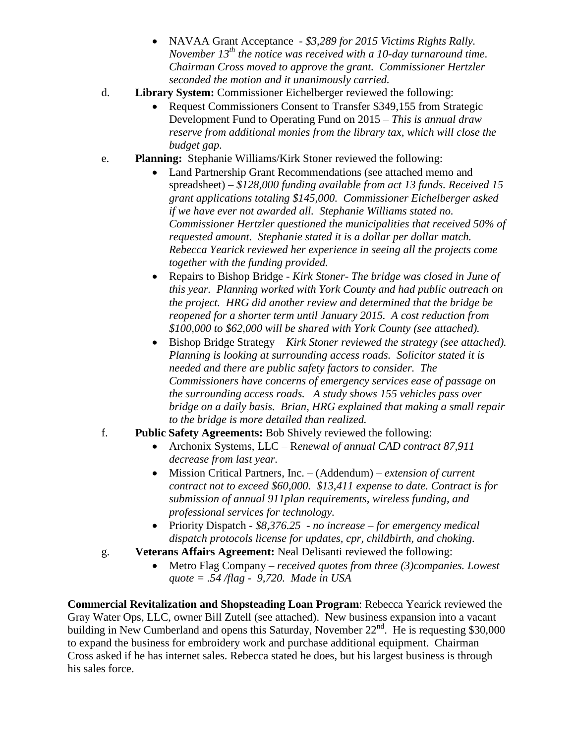- NAVAA Grant Acceptance *\$3,289 for 2015 Victims Rights Rally. November 13th the notice was received with a 10-day turnaround time*. *Chairman Cross moved to approve the grant. Commissioner Hertzler seconded the motion and it unanimously carried.*
- d. **Library System:** Commissioner Eichelberger reviewed the following:
	- Request Commissioners Consent to Transfer \$349,155 from Strategic Development Fund to Operating Fund on 2015 – *This is annual draw reserve from additional monies from the library tax, which will close the budget gap.*
- e. **Planning:** Stephanie Williams/Kirk Stoner reviewed the following:
	- Land Partnership Grant Recommendations (see attached memo and spreadsheet) – *\$128,000 funding available from act 13 funds. Received 15 grant applications totaling \$145,000. Commissioner Eichelberger asked if we have ever not awarded all. Stephanie Williams stated no. Commissioner Hertzler questioned the municipalities that received 50% of requested amount. Stephanie stated it is a dollar per dollar match. Rebecca Yearick reviewed her experience in seeing all the projects come together with the funding provided.*
	- Repairs to Bishop Bridge *Kirk Stoner- The bridge was closed in June of this year. Planning worked with York County and had public outreach on the project. HRG did another review and determined that the bridge be reopened for a shorter term until January 2015. A cost reduction from \$100,000 to \$62,000 will be shared with York County (see attached).*
	- Bishop Bridge Strategy *Kirk Stoner reviewed the strategy (see attached). Planning is looking at surrounding access roads. Solicitor stated it is needed and there are public safety factors to consider. The Commissioners have concerns of emergency services ease of passage on the surrounding access roads. A study shows 155 vehicles pass over bridge on a daily basis. Brian, HRG explained that making a small repair to the bridge is more detailed than realized.*
- f. **Public Safety Agreements:** Bob Shively reviewed the following:
	- Archonix Systems, LLC R*enewal of annual CAD contract 87,911 decrease from last year.*
	- Mission Critical Partners, Inc. (Addendum) *extension of current contract not to exceed \$60,000. \$13,411 expense to date. Contract is for submission of annual 911plan requirements, wireless funding, and professional services for technology.*
	- Priority Dispatch *\$8,376.25 - no increase – for emergency medical dispatch protocols license for updates, cpr, childbirth, and choking.*
- g. **Veterans Affairs Agreement:** Neal Delisanti reviewed the following:
	- Metro Flag Company *– received quotes from three (3)companies. Lowest quote = .54 /flag - 9,720. Made in USA*

**Commercial Revitalization and Shopsteading Loan Program**: Rebecca Yearick reviewed the Gray Water Ops, LLC, owner Bill Zutell (see attached). New business expansion into a vacant building in New Cumberland and opens this Saturday, November  $22<sup>nd</sup>$ . He is requesting \$30,000 to expand the business for embroidery work and purchase additional equipment. Chairman Cross asked if he has internet sales. Rebecca stated he does, but his largest business is through his sales force.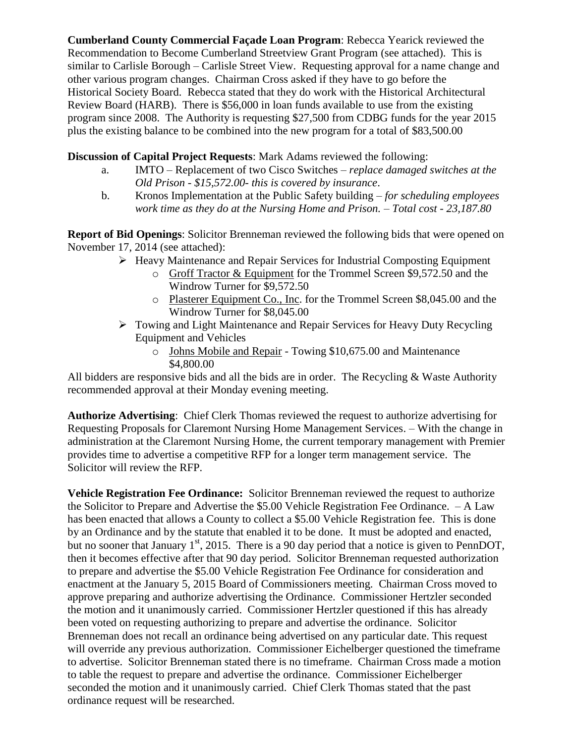**Cumberland County Commercial Façade Loan Program**: Rebecca Yearick reviewed the Recommendation to Become Cumberland Streetview Grant Program (see attached). This is similar to Carlisle Borough – Carlisle Street View. Requesting approval for a name change and other various program changes. Chairman Cross asked if they have to go before the Historical Society Board. Rebecca stated that they do work with the Historical Architectural Review Board (HARB). There is \$56,000 in loan funds available to use from the existing program since 2008. The Authority is requesting \$27,500 from CDBG funds for the year 2015 plus the existing balance to be combined into the new program for a total of \$83,500.00

### **Discussion of Capital Project Requests**: Mark Adams reviewed the following:

- a. IMTO Replacement of two Cisco Switches *replace damaged switches at the Old Prison - \$15,572.00- this is covered by insurance*.
- b. Kronos Implementation at the Public Safety building *for scheduling employees work time as they do at the Nursing Home and Prison. – Total cost - 23,187.80*

**Report of Bid Openings**: Solicitor Brenneman reviewed the following bids that were opened on November 17, 2014 (see attached):

- $\triangleright$  Heavy Maintenance and Repair Services for Industrial Composting Equipment
	- o Groff Tractor & Equipment for the Trommel Screen \$9,572.50 and the Windrow Turner for \$9,572.50
	- o Plasterer Equipment Co., Inc. for the Trommel Screen \$8,045.00 and the Windrow Turner for \$8,045.00
	- Towing and Light Maintenance and Repair Services for Heavy Duty Recycling Equipment and Vehicles
		- o Johns Mobile and Repair Towing \$10,675.00 and Maintenance \$4,800.00

All bidders are responsive bids and all the bids are in order. The Recycling & Waste Authority recommended approval at their Monday evening meeting.

**Authorize Advertising**: Chief Clerk Thomas reviewed the request to authorize advertising for Requesting Proposals for Claremont Nursing Home Management Services. – With the change in administration at the Claremont Nursing Home, the current temporary management with Premier provides time to advertise a competitive RFP for a longer term management service. The Solicitor will review the RFP.

**Vehicle Registration Fee Ordinance:** Solicitor Brenneman reviewed the request to authorize the Solicitor to Prepare and Advertise the \$5.00 Vehicle Registration Fee Ordinance. – A Law has been enacted that allows a County to collect a \$5.00 Vehicle Registration fee. This is done by an Ordinance and by the statute that enabled it to be done. It must be adopted and enacted, but no sooner that January  $1<sup>st</sup>$ , 2015. There is a 90 day period that a notice is given to PennDOT, then it becomes effective after that 90 day period. Solicitor Brenneman requested authorization to prepare and advertise the \$5.00 Vehicle Registration Fee Ordinance for consideration and enactment at the January 5, 2015 Board of Commissioners meeting. Chairman Cross moved to approve preparing and authorize advertising the Ordinance. Commissioner Hertzler seconded the motion and it unanimously carried. Commissioner Hertzler questioned if this has already been voted on requesting authorizing to prepare and advertise the ordinance. Solicitor Brenneman does not recall an ordinance being advertised on any particular date. This request will override any previous authorization. Commissioner Eichelberger questioned the timeframe to advertise. Solicitor Brenneman stated there is no timeframe. Chairman Cross made a motion to table the request to prepare and advertise the ordinance. Commissioner Eichelberger seconded the motion and it unanimously carried. Chief Clerk Thomas stated that the past ordinance request will be researched.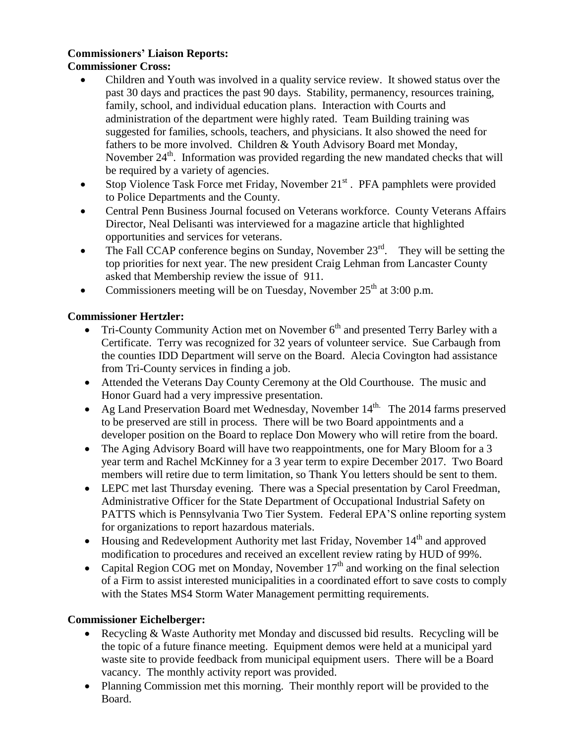# **Commissioners' Liaison Reports:**

# **Commissioner Cross:**

- Children and Youth was involved in a quality service review. It showed status over the past 30 days and practices the past 90 days. Stability, permanency, resources training, family, school, and individual education plans. Interaction with Courts and administration of the department were highly rated. Team Building training was suggested for families, schools, teachers, and physicians. It also showed the need for fathers to be more involved. Children & Youth Advisory Board met Monday, November 24<sup>th</sup>. Information was provided regarding the new mandated checks that will be required by a variety of agencies.
- Stop Violence Task Force met Friday, November 21<sup>st</sup>. PFA pamphlets were provided to Police Departments and the County.
- Central Penn Business Journal focused on Veterans workforce. County Veterans Affairs Director, Neal Delisanti was interviewed for a magazine article that highlighted opportunities and services for veterans.
- The Fall CCAP conference begins on Sunday, November  $23<sup>rd</sup>$ . They will be setting the top priorities for next year. The new president Craig Lehman from Lancaster County asked that Membership review the issue of 911.
- Commissioners meeting will be on Tuesday, November  $25<sup>th</sup>$  at 3:00 p.m.

# **Commissioner Hertzler:**

- Tri-County Community Action met on November  $6<sup>th</sup>$  and presented Terry Barley with a Certificate. Terry was recognized for 32 years of volunteer service. Sue Carbaugh from the counties IDD Department will serve on the Board. Alecia Covington had assistance from Tri-County services in finding a job.
- Attended the Veterans Day County Ceremony at the Old Courthouse. The music and Honor Guard had a very impressive presentation.
- Ag Land Preservation Board met Wednesday, November 14<sup>th.</sup> The 2014 farms preserved to be preserved are still in process. There will be two Board appointments and a developer position on the Board to replace Don Mowery who will retire from the board.
- The Aging Advisory Board will have two reappointments, one for Mary Bloom for a 3 year term and Rachel McKinney for a 3 year term to expire December 2017. Two Board members will retire due to term limitation, so Thank You letters should be sent to them.
- LEPC met last Thursday evening. There was a Special presentation by Carol Freedman, Administrative Officer for the State Department of Occupational Industrial Safety on PATTS which is Pennsylvania Two Tier System. Federal EPA'S online reporting system for organizations to report hazardous materials.
- Housing and Redevelopment Authority met last Friday, November 14<sup>th</sup> and approved modification to procedures and received an excellent review rating by HUD of 99%.
- Capital Region COG met on Monday, November  $17<sup>th</sup>$  and working on the final selection of a Firm to assist interested municipalities in a coordinated effort to save costs to comply with the States MS4 Storm Water Management permitting requirements.

### **Commissioner Eichelberger:**

- Recycling & Waste Authority met Monday and discussed bid results. Recycling will be the topic of a future finance meeting. Equipment demos were held at a municipal yard waste site to provide feedback from municipal equipment users. There will be a Board vacancy. The monthly activity report was provided.
- Planning Commission met this morning. Their monthly report will be provided to the Board.